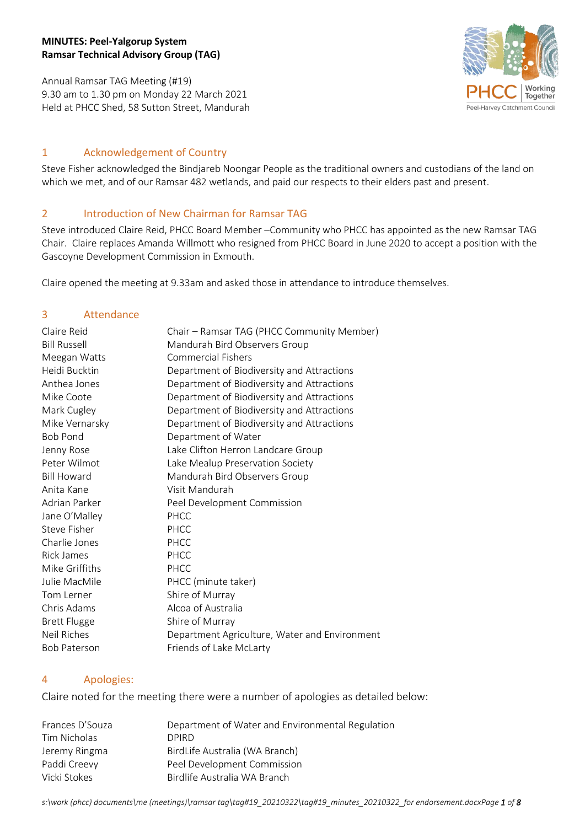## **MINUTES: Peel-Yalgorup System Ramsar Technical Advisory Group (TAG)**

Annual Ramsar TAG Meeting (#19) 9.30 am to 1.30 pm on Monday 22 March 2021 Held at PHCC Shed, 58 Sutton Street, Mandurah



## 1 Acknowledgement of Country

Steve Fisher acknowledged the Bindjareb Noongar People as the traditional owners and custodians of the land on which we met, and of our Ramsar 482 wetlands, and paid our respects to their elders past and present.

# 2 Introduction of New Chairman for Ramsar TAG

Steve introduced Claire Reid, PHCC Board Member –Community who PHCC has appointed as the new Ramsar TAG Chair. Claire replaces Amanda Willmott who resigned from PHCC Board in June 2020 to accept a position with the Gascoyne Development Commission in Exmouth.

Claire opened the meeting at 9.33am and asked those in attendance to introduce themselves.

### 3 Attendance

| Claire Reid         | Chair - Ramsar TAG (PHCC Community Member)    |
|---------------------|-----------------------------------------------|
| <b>Bill Russell</b> | Mandurah Bird Observers Group                 |
| Meegan Watts        | <b>Commercial Fishers</b>                     |
| Heidi Bucktin       | Department of Biodiversity and Attractions    |
| Anthea Jones        | Department of Biodiversity and Attractions    |
| Mike Coote          | Department of Biodiversity and Attractions    |
| Mark Cugley         | Department of Biodiversity and Attractions    |
| Mike Vernarsky      | Department of Biodiversity and Attractions    |
| <b>Bob Pond</b>     | Department of Water                           |
| Jenny Rose          | Lake Clifton Herron Landcare Group            |
| Peter Wilmot        | Lake Mealup Preservation Society              |
| <b>Bill Howard</b>  | Mandurah Bird Observers Group                 |
| Anita Kane          | Visit Mandurah                                |
| Adrian Parker       | Peel Development Commission                   |
| Jane O'Malley       | PHCC                                          |
| Steve Fisher        | PHCC                                          |
| Charlie Jones       | PHCC                                          |
| Rick James          | PHCC                                          |
| Mike Griffiths      | PHCC                                          |
| Julie MacMile       | PHCC (minute taker)                           |
| Tom Lerner          | Shire of Murray                               |
| Chris Adams         | Alcoa of Australia                            |
| <b>Brett Flugge</b> | Shire of Murray                               |
| Neil Riches         | Department Agriculture, Water and Environment |
| <b>Bob Paterson</b> | Friends of Lake McLarty                       |

## 4 Apologies:

Claire noted for the meeting there were a number of apologies as detailed below:

| Frances D'Souza | Department of Water and Environmental Regulation |
|-----------------|--------------------------------------------------|
| Tim Nicholas    | DPIRD.                                           |
| Jeremy Ringma   | BirdLife Australia (WA Branch)                   |
| Paddi Creevy    | Peel Development Commission                      |
| Vicki Stokes    | Birdlife Australia WA Branch                     |

*s:\work (phcc) documents\me (meetings)\ramsar tag\tag#19\_20210322\tag#19\_minutes\_20210322\_for endorsement.docxPage 1 of 8*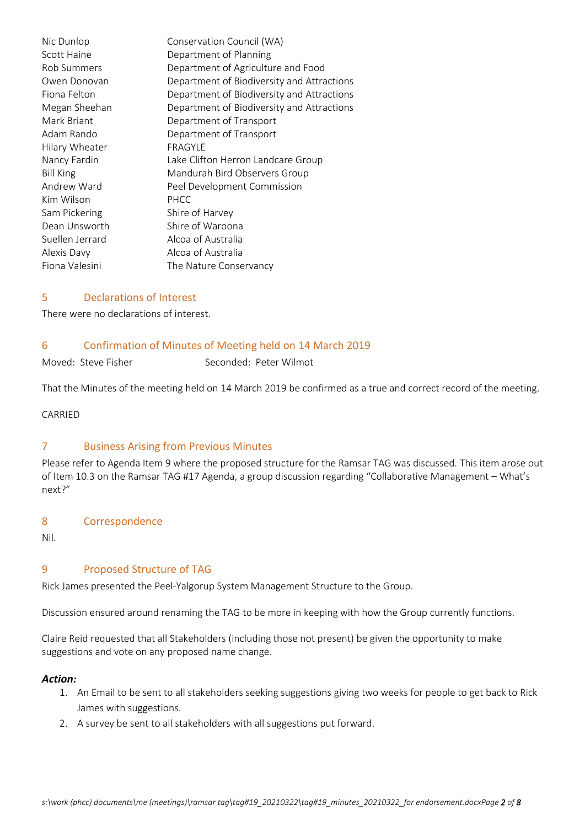Nic Dunlop Conservation Council (WA) Scott Haine **Department of Planning** Rob Summers Department of Agriculture and Food Owen Donovan Department of Biodiversity and Attractions Fiona Felton **Department of Biodiversity and Attractions** Megan Sheehan Department of Biodiversity and Attractions Mark Briant **Department of Transport** Adam Rando Department of Transport Hilary Wheater FRAGYLE Nancy Fardin Lake Clifton Herron Landcare Group Bill King Mandurah Bird Observers Group Andrew Ward **Peel Development Commission** Kim Wilson PHCC Sam Pickering Shire of Harvey Dean Unsworth Shire of Waroona Suellen Jerrard Alcoa of Australia Alexis Davy Alcoa of Australia Fiona Valesini The Nature Conservancy

### 5 Declarations of Interest

There were no declarations of interest.

#### 6 Confirmation of Minutes of Meeting held on 14 March 2019

Moved: Steve Fisher Seconded: Peter Wilmot

That the Minutes of the meeting held on 14 March 2019 be confirmed as a true and correct record of the meeting.

CARRIED

#### 7 Business Arising from Previous Minutes

Please refer to Agenda Item 9 where the proposed structure for the Ramsar TAG was discussed. This item arose out of Item 10.3 on the Ramsar TAG #17 Agenda, a group discussion regarding "Collaborative Management – What's next?"

#### 8 Correspondence

Nil.

#### 9 Proposed Structure of TAG

Rick James presented the Peel-Yalgorup System Management Structure to the Group.

Discussion ensured around renaming the TAG to be more in keeping with how the Group currently functions.

Claire Reid requested that all Stakeholders (including those not present) be given the opportunity to make suggestions and vote on any proposed name change.

#### *Action:*

- 1. An Email to be sent to all stakeholders seeking suggestions giving two weeks for people to get back to Rick James with suggestions.
- 2. A survey be sent to all stakeholders with all suggestions put forward.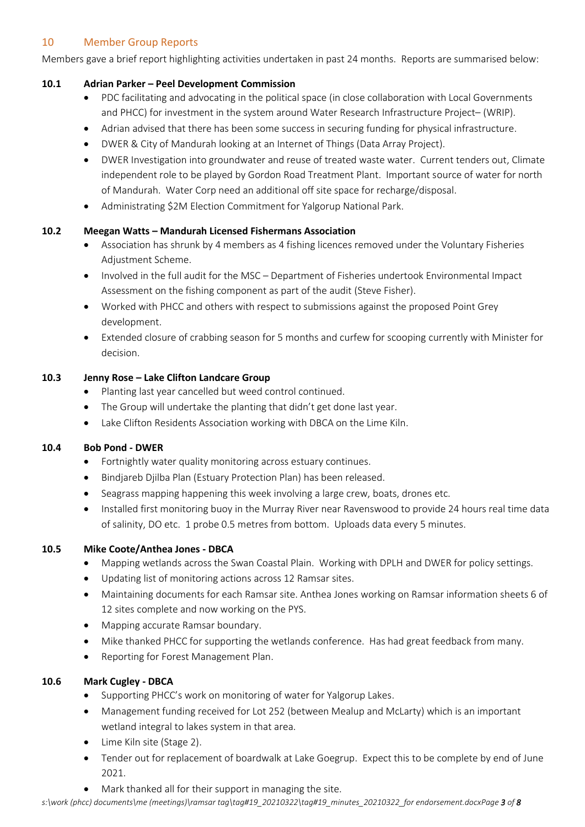# 10 Member Group Reports

Members gave a brief report highlighting activities undertaken in past 24 months. Reports are summarised below:

## **10.1 Adrian Parker – Peel Development Commission**

- PDC facilitating and advocating in the political space (in close collaboration with Local Governments and PHCC) for investment in the system around Water Research Infrastructure Project– (WRIP).
- Adrian advised that there has been some success in securing funding for physical infrastructure.
- DWER & City of Mandurah looking at an Internet of Things (Data Array Project).
- DWER Investigation into groundwater and reuse of treated waste water. Current tenders out, Climate independent role to be played by Gordon Road Treatment Plant. Important source of water for north of Mandurah. Water Corp need an additional off site space for recharge/disposal.
- Administrating \$2M Election Commitment for Yalgorup National Park.

# **10.2 Meegan Watts – Mandurah Licensed Fishermans Association**

- Association has shrunk by 4 members as 4 fishing licences removed under the Voluntary Fisheries Adjustment Scheme.
- Involved in the full audit for the MSC Department of Fisheries undertook Environmental Impact Assessment on the fishing component as part of the audit (Steve Fisher).
- Worked with PHCC and others with respect to submissions against the proposed Point Grey development.
- Extended closure of crabbing season for 5 months and curfew for scooping currently with Minister for decision.

# **10.3 Jenny Rose – Lake Clifton Landcare Group**

- Planting last year cancelled but weed control continued.
- The Group will undertake the planting that didn't get done last year.
- Lake Clifton Residents Association working with DBCA on the Lime Kiln.

## **10.4 Bob Pond - DWER**

- Fortnightly water quality monitoring across estuary continues.
- Bindjareb Djilba Plan (Estuary Protection Plan) has been released.
- Seagrass mapping happening this week involving a large crew, boats, drones etc.
- Installed first monitoring buoy in the Murray River near Ravenswood to provide 24 hours real time data of salinity, DO etc. 1 probe 0.5 metres from bottom. Uploads data every 5 minutes.

## **10.5 Mike Coote/Anthea Jones - DBCA**

- Mapping wetlands across the Swan Coastal Plain. Working with DPLH and DWER for policy settings.
- Updating list of monitoring actions across 12 Ramsar sites.
- Maintaining documents for each Ramsar site. Anthea Jones working on Ramsar information sheets 6 of 12 sites complete and now working on the PYS.
- Mapping accurate Ramsar boundary.
- Mike thanked PHCC for supporting the wetlands conference. Has had great feedback from many.
- Reporting for Forest Management Plan.

## **10.6 Mark Cugley - DBCA**

- Supporting PHCC's work on monitoring of water for Yalgorup Lakes.
- Management funding received for Lot 252 (between Mealup and McLarty) which is an important wetland integral to lakes system in that area.
- Lime Kiln site (Stage 2).
- Tender out for replacement of boardwalk at Lake Goegrup. Expect this to be complete by end of June 2021.
- Mark thanked all for their support in managing the site.

*s:\work (phcc) documents\me (meetings)\ramsar tag\tag#19\_20210322\tag#19\_minutes\_20210322\_for endorsement.docxPage 3 of 8*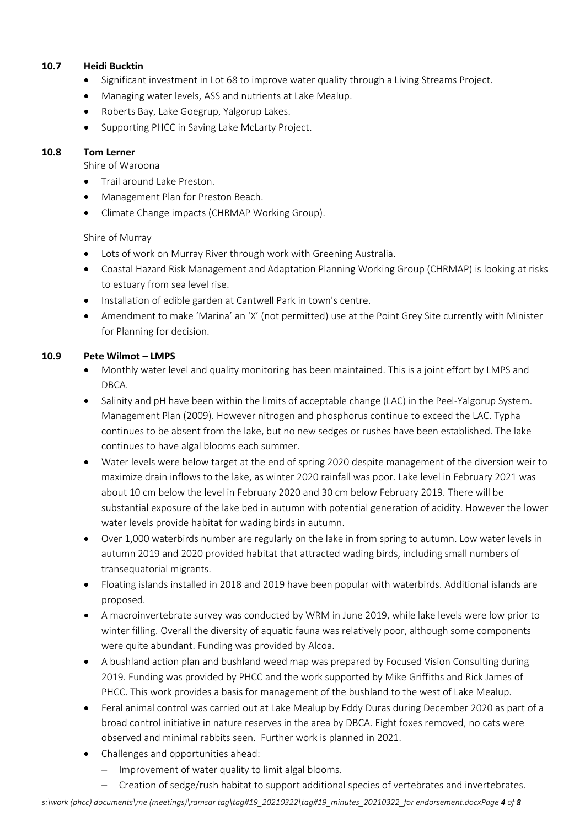## **10.7 Heidi Bucktin**

- Significant investment in Lot 68 to improve water quality through a Living Streams Project.
- Managing water levels, ASS and nutrients at Lake Mealup.
- Roberts Bay, Lake Goegrup, Yalgorup Lakes.
- Supporting PHCC in Saving Lake McLarty Project.

### **10.8 Tom Lerner**

Shire of Waroona

- Trail around Lake Preston.
- Management Plan for Preston Beach.
- Climate Change impacts (CHRMAP Working Group).

## Shire of Murray

- Lots of work on Murray River through work with Greening Australia.
- Coastal Hazard Risk Management and Adaptation Planning Working Group (CHRMAP) is looking at risks to estuary from sea level rise.
- Installation of edible garden at Cantwell Park in town's centre.
- Amendment to make 'Marina' an 'X' (not permitted) use at the Point Grey Site currently with Minister for Planning for decision.

## **10.9 Pete Wilmot – LMPS**

- Monthly water level and quality monitoring has been maintained. This is a joint effort by LMPS and DBCA.
- Salinity and pH have been within the limits of acceptable change (LAC) in the Peel-Yalgorup System. Management Plan (2009). However nitrogen and phosphorus continue to exceed the LAC. Typha continues to be absent from the lake, but no new sedges or rushes have been established. The lake continues to have algal blooms each summer.
- Water levels were below target at the end of spring 2020 despite management of the diversion weir to maximize drain inflows to the lake, as winter 2020 rainfall was poor. Lake level in February 2021 was about 10 cm below the level in February 2020 and 30 cm below February 2019. There will be substantial exposure of the lake bed in autumn with potential generation of acidity. However the lower water levels provide habitat for wading birds in autumn.
- Over 1,000 waterbirds number are regularly on the lake in from spring to autumn. Low water levels in autumn 2019 and 2020 provided habitat that attracted wading birds, including small numbers of transequatorial migrants.
- Floating islands installed in 2018 and 2019 have been popular with waterbirds. Additional islands are proposed.
- A macroinvertebrate survey was conducted by WRM in June 2019, while lake levels were low prior to winter filling. Overall the diversity of aquatic fauna was relatively poor, although some components were quite abundant. Funding was provided by Alcoa.
- A bushland action plan and bushland weed map was prepared by Focused Vision Consulting during 2019. Funding was provided by PHCC and the work supported by Mike Griffiths and Rick James of PHCC. This work provides a basis for management of the bushland to the west of Lake Mealup.
- Feral animal control was carried out at Lake Mealup by Eddy Duras during December 2020 as part of a broad control initiative in nature reserves in the area by DBCA. Eight foxes removed, no cats were observed and minimal rabbits seen. Further work is planned in 2021.
- Challenges and opportunities ahead:
	- $-$  Improvement of water quality to limit algal blooms.
	- Creation of sedge/rush habitat to support additional species of vertebrates and invertebrates.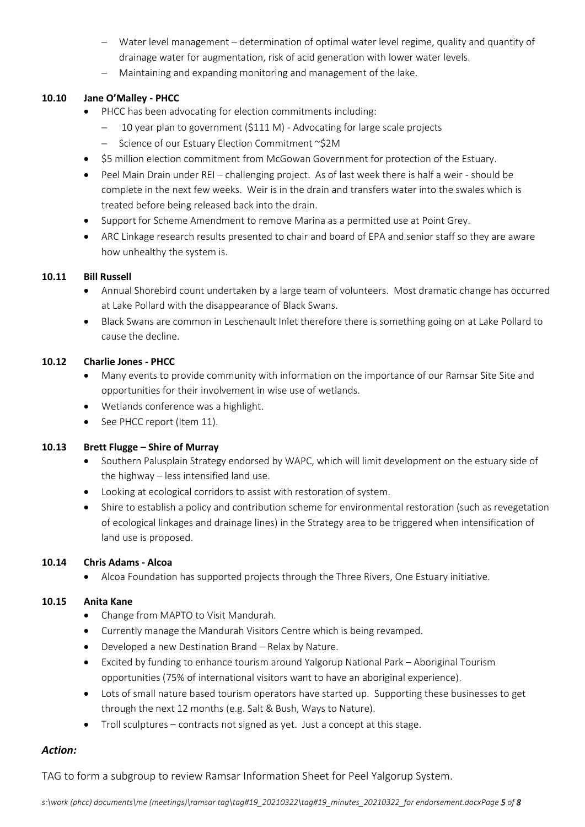- Water level management determination of optimal water level regime, quality and quantity of drainage water for augmentation, risk of acid generation with lower water levels.
- Maintaining and expanding monitoring and management of the lake.

## **10.10 Jane O'Malley - PHCC**

- PHCC has been advocating for election commitments including:
	- 10 year plan to government (\$111 M) Advocating for large scale projects
	- Science of our Estuary Election Commitment ~\$2M
- \$5 million election commitment from McGowan Government for protection of the Estuary.
- Peel Main Drain under REI challenging project. As of last week there is half a weir should be complete in the next few weeks. Weir is in the drain and transfers water into the swales which is treated before being released back into the drain.
- Support for Scheme Amendment to remove Marina as a permitted use at Point Grey.
- ARC Linkage research results presented to chair and board of EPA and senior staff so they are aware how unhealthy the system is.

# **10.11 Bill Russell**

- Annual Shorebird count undertaken by a large team of volunteers. Most dramatic change has occurred at Lake Pollard with the disappearance of Black Swans.
- Black Swans are common in Leschenault Inlet therefore there is something going on at Lake Pollard to cause the decline.

# **10.12 Charlie Jones - PHCC**

- Many events to provide community with information on the importance of our Ramsar Site Site and opportunities for their involvement in wise use of wetlands.
- Wetlands conference was a highlight.
- See PHCC report (Item 11).

## **10.13 Brett Flugge – Shire of Murray**

- Southern Palusplain Strategy endorsed by WAPC, which will limit development on the estuary side of the highway – less intensified land use.
- Looking at ecological corridors to assist with restoration of system.
- Shire to establish a policy and contribution scheme for environmental restoration (such as revegetation of ecological linkages and drainage lines) in the Strategy area to be triggered when intensification of land use is proposed.

## **10.14 Chris Adams - Alcoa**

Alcoa Foundation has supported projects through the Three Rivers, One Estuary initiative.

## **10.15 Anita Kane**

- Change from MAPTO to Visit Mandurah.
- Currently manage the Mandurah Visitors Centre which is being revamped.
- Developed a new Destination Brand Relax by Nature.
- Excited by funding to enhance tourism around Yalgorup National Park Aboriginal Tourism opportunities (75% of international visitors want to have an aboriginal experience).
- Lots of small nature based tourism operators have started up. Supporting these businesses to get through the next 12 months (e.g. Salt & Bush, Ways to Nature).
- Troll sculptures contracts not signed as yet. Just a concept at this stage.

# *Action:*

TAG to form a subgroup to review Ramsar Information Sheet for Peel Yalgorup System.

*s:\work (phcc) documents\me (meetings)\ramsar tag\tag#19\_20210322\tag#19\_minutes\_20210322\_for endorsement.docxPage 5 of 8*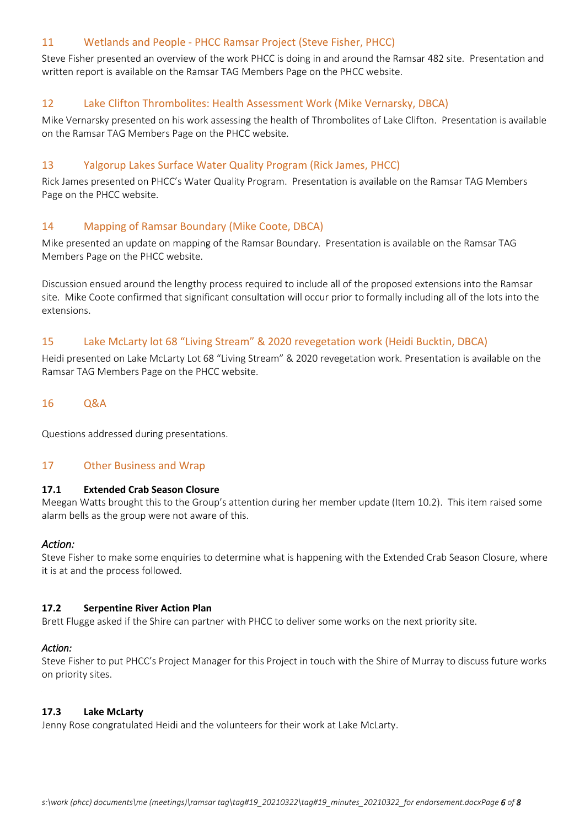## 11 Wetlands and People - PHCC Ramsar Project (Steve Fisher, PHCC)

Steve Fisher presented an overview of the work PHCC is doing in and around the Ramsar 482 site. Presentation and written report is available on the Ramsar TAG Members Page on the PHCC website.

# 12 Lake Clifton Thrombolites: Health Assessment Work (Mike Vernarsky, DBCA)

Mike Vernarsky presented on his work assessing the health of Thrombolites of Lake Clifton. Presentation is available on the Ramsar TAG Members Page on the PHCC website.

## 13 Yalgorup Lakes Surface Water Quality Program (Rick James, PHCC)

Rick James presented on PHCC's Water Quality Program. Presentation is available on the Ramsar TAG Members Page on the PHCC website.

## 14 Mapping of Ramsar Boundary (Mike Coote, DBCA)

Mike presented an update on mapping of the Ramsar Boundary. Presentation is available on the Ramsar TAG Members Page on the PHCC website.

Discussion ensued around the lengthy process required to include all of the proposed extensions into the Ramsar site. Mike Coote confirmed that significant consultation will occur prior to formally including all of the lots into the extensions.

## 15 Lake McLarty lot 68 "Living Stream" & 2020 revegetation work (Heidi Bucktin, DBCA)

Heidi presented on Lake McLarty Lot 68 "Living Stream" & 2020 revegetation work. Presentation is available on the Ramsar TAG Members Page on the PHCC website.

## 16 Q&A

Questions addressed during presentations.

## 17 Other Business and Wrap

### **17.1 Extended Crab Season Closure**

Meegan Watts brought this to the Group's attention during her member update (Item 10.2). This item raised some alarm bells as the group were not aware of this.

## *Action:*

Steve Fisher to make some enquiries to determine what is happening with the Extended Crab Season Closure, where it is at and the process followed.

#### **17.2 Serpentine River Action Plan**

Brett Flugge asked if the Shire can partner with PHCC to deliver some works on the next priority site.

#### *Action:*

Steve Fisher to put PHCC's Project Manager for this Project in touch with the Shire of Murray to discuss future works on priority sites.

#### **17.3 Lake McLarty**

Jenny Rose congratulated Heidi and the volunteers for their work at Lake McLarty.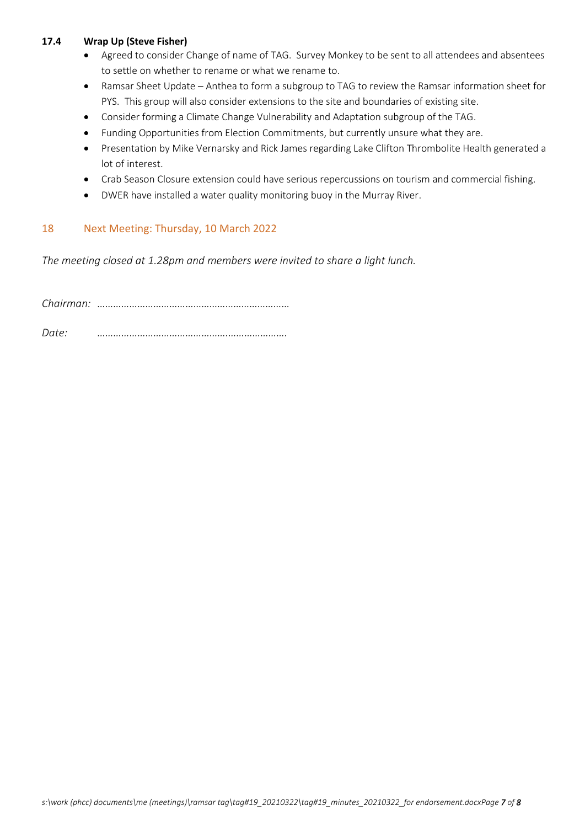## **17.4 Wrap Up (Steve Fisher)**

- Agreed to consider Change of name of TAG. Survey Monkey to be sent to all attendees and absentees to settle on whether to rename or what we rename to.
- Ramsar Sheet Update Anthea to form a subgroup to TAG to review the Ramsar information sheet for PYS. This group will also consider extensions to the site and boundaries of existing site.
- Consider forming a Climate Change Vulnerability and Adaptation subgroup of the TAG.
- Funding Opportunities from Election Commitments, but currently unsure what they are.
- Presentation by Mike Vernarsky and Rick James regarding Lake Clifton Thrombolite Health generated a lot of interest.
- Crab Season Closure extension could have serious repercussions on tourism and commercial fishing.
- DWER have installed a water quality monitoring buoy in the Murray River.

### 18 Next Meeting: Thursday, 10 March 2022

*The meeting closed at 1.28pm and members were invited to share a light lunch.*

*Chairman: ……………………………………………………………… Date: ………………………………………….………………….*